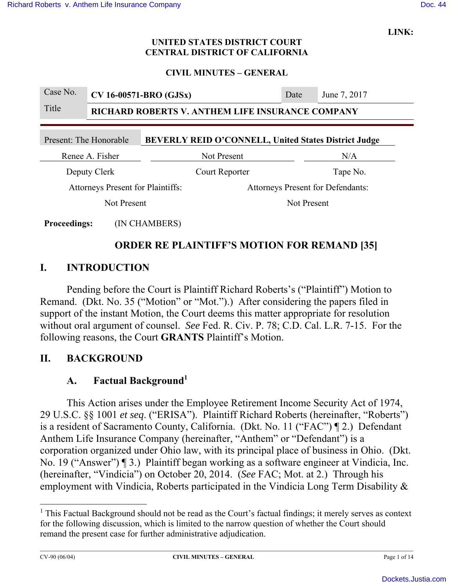**LINK:** 

#### **UNITED STATES DISTRICT COURT CENTRAL DISTRICT OF CALIFORNIA**

**CIVIL MINUTES – GENERAL** 

| Case No.                                                                                      | $CV 16-00571-BRO (GJSx)$                         |  | Date | June 7, 2017 |  |
|-----------------------------------------------------------------------------------------------|--------------------------------------------------|--|------|--------------|--|
| Title                                                                                         | RICHARD ROBERTS V. ANTHEM LIFE INSURANCE COMPANY |  |      |              |  |
|                                                                                               |                                                  |  |      |              |  |
| REVERI V REID O'CONNELL L'Inited States District Indee<br>$P_{\text{recont}}$ . The Honorable |                                                  |  |      |              |  |

| TTUSUM. THU TIOMOTAUIU                   |  |                                          | DE VERLI REID O CONNELL, UMICA States District Judge |
|------------------------------------------|--|------------------------------------------|------------------------------------------------------|
| Renee A. Fisher                          |  | Not Present                              | N/A                                                  |
| Deputy Clerk                             |  | Court Reporter                           | Tape No.                                             |
| <b>Attorneys Present for Plaintiffs:</b> |  | <b>Attorneys Present for Defendants:</b> |                                                      |
| Not Present                              |  |                                          | Not Present                                          |
|                                          |  |                                          |                                                      |

**Proceedings:** (IN CHAMBERS)

# **ORDER RE PLAINTIFF'S MOTION FOR REMAND [35]**

# **I. INTRODUCTION**

Pending before the Court is Plaintiff Richard Roberts's ("Plaintiff") Motion to Remand. (Dkt. No. 35 ("Motion" or "Mot.").) After considering the papers filed in support of the instant Motion, the Court deems this matter appropriate for resolution without oral argument of counsel. *See* Fed. R. Civ. P. 78; C.D. Cal. L.R. 7-15. For the following reasons, the Court **GRANTS** Plaintiff's Motion.

## **II. BACKGROUND**

# **A. Factual Background<sup>1</sup>**

 This Action arises under the Employee Retirement Income Security Act of 1974, 29 U.S.C. §§ 1001 *et seq*. ("ERISA"). Plaintiff Richard Roberts (hereinafter, "Roberts") is a resident of Sacramento County, California. (Dkt. No. 11 ("FAC") ¶ 2.) Defendant Anthem Life Insurance Company (hereinafter, "Anthem" or "Defendant") is a corporation organized under Ohio law, with its principal place of business in Ohio. (Dkt. No. 19 ("Answer") ¶ 3.) Plaintiff began working as a software engineer at Vindicia, Inc. (hereinafter, "Vindicia") on October 20, 2014. (*See* FAC; Mot. at 2.) Through his employment with Vindicia, Roberts participated in the Vindicia Long Term Disability &

<sup>&</sup>lt;sup>1</sup> This Factual Background should not be read as the Court's factual findings; it merely serves as context for the following discussion, which is limited to the narrow question of whether the Court should remand the present case for further administrative adjudication.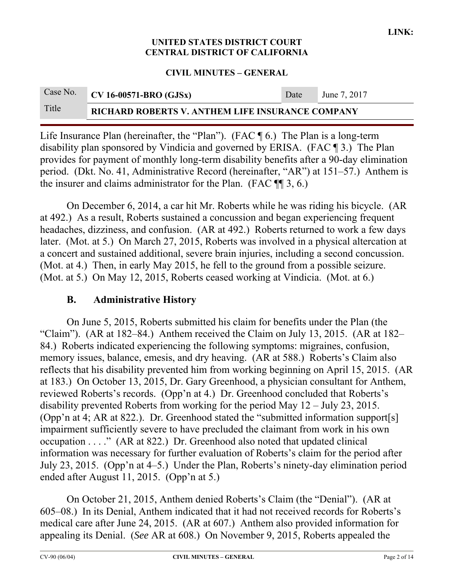#### **CIVIL MINUTES – GENERAL**

| Case No. | $CV 16-00571-BRO (GJSx)$                                | Date | June 7, 2017 |
|----------|---------------------------------------------------------|------|--------------|
| Title    | <b>RICHARD ROBERTS V. ANTHEM LIFE INSURANCE COMPANY</b> |      |              |

Life Insurance Plan (hereinafter, the "Plan"). (FAC ¶ 6.) The Plan is a long-term disability plan sponsored by Vindicia and governed by ERISA. (FAC ¶ 3.) The Plan provides for payment of monthly long-term disability benefits after a 90-day elimination period. (Dkt. No. 41, Administrative Record (hereinafter, "AR") at 151–57.) Anthem is the insurer and claims administrator for the Plan. (FAC ¶¶ 3, 6.)

On December 6, 2014, a car hit Mr. Roberts while he was riding his bicycle. (AR at 492.) As a result, Roberts sustained a concussion and began experiencing frequent headaches, dizziness, and confusion. (AR at 492.) Roberts returned to work a few days later. (Mot. at 5.) On March 27, 2015, Roberts was involved in a physical altercation at a concert and sustained additional, severe brain injuries, including a second concussion. (Mot. at 4.) Then, in early May 2015, he fell to the ground from a possible seizure. (Mot. at 5.) On May 12, 2015, Roberts ceased working at Vindicia. (Mot. at 6.)

## **B. Administrative History**

 On June 5, 2015, Roberts submitted his claim for benefits under the Plan (the "Claim"). (AR at 182–84.) Anthem received the Claim on July 13, 2015. (AR at 182– 84.) Roberts indicated experiencing the following symptoms: migraines, confusion, memory issues, balance, emesis, and dry heaving. (AR at 588.) Roberts's Claim also reflects that his disability prevented him from working beginning on April 15, 2015. (AR at 183.) On October 13, 2015, Dr. Gary Greenhood, a physician consultant for Anthem, reviewed Roberts's records. (Opp'n at 4.) Dr. Greenhood concluded that Roberts's disability prevented Roberts from working for the period May 12 – July 23, 2015. (Opp'n at 4; AR at 822.). Dr. Greenhood stated the "submitted information support[s] impairment sufficiently severe to have precluded the claimant from work in his own occupation . . . ." (AR at 822.) Dr. Greenhood also noted that updated clinical information was necessary for further evaluation of Roberts's claim for the period after July 23, 2015. (Opp'n at 4–5.) Under the Plan, Roberts's ninety-day elimination period ended after August 11, 2015. (Opp'n at 5.)

On October 21, 2015, Anthem denied Roberts's Claim (the "Denial"). (AR at 605–08.) In its Denial, Anthem indicated that it had not received records for Roberts's medical care after June 24, 2015. (AR at 607.) Anthem also provided information for appealing its Denial. (*See* AR at 608.) On November 9, 2015, Roberts appealed the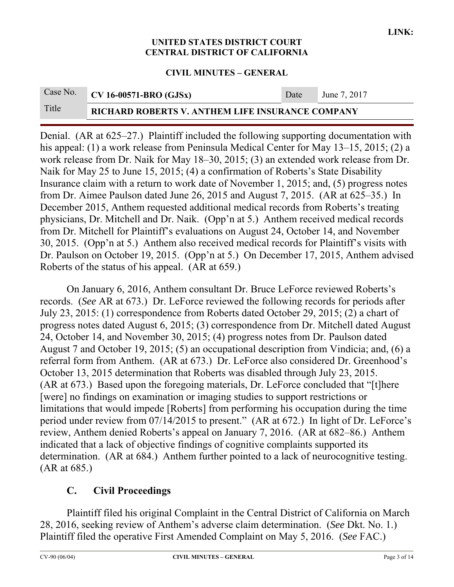#### **CIVIL MINUTES – GENERAL**

# Case No. **CV 16-00571-BRO (GJSx)** Date June 7, 2017 Title **RICHARD ROBERTS V. ANTHEM LIFE INSURANCE COMPANY**

Denial. (AR at 625–27.) Plaintiff included the following supporting documentation with his appeal: (1) a work release from Peninsula Medical Center for May 13–15, 2015; (2) a work release from Dr. Naik for May 18–30, 2015; (3) an extended work release from Dr. Naik for May 25 to June 15, 2015; (4) a confirmation of Roberts's State Disability Insurance claim with a return to work date of November 1, 2015; and, (5) progress notes from Dr. Aimee Paulson dated June 26, 2015 and August 7, 2015. (AR at 625–35.) In December 2015, Anthem requested additional medical records from Roberts's treating physicians, Dr. Mitchell and Dr. Naik. (Opp'n at 5.) Anthem received medical records from Dr. Mitchell for Plaintiff's evaluations on August 24, October 14, and November 30, 2015. (Opp'n at 5.) Anthem also received medical records for Plaintiff's visits with Dr. Paulson on October 19, 2015. (Opp'n at 5.) On December 17, 2015, Anthem advised Roberts of the status of his appeal. (AR at 659.)

On January 6, 2016, Anthem consultant Dr. Bruce LeForce reviewed Roberts's records. (*See* AR at 673.) Dr. LeForce reviewed the following records for periods after July 23, 2015: (1) correspondence from Roberts dated October 29, 2015; (2) a chart of progress notes dated August 6, 2015; (3) correspondence from Dr. Mitchell dated August 24, October 14, and November 30, 2015; (4) progress notes from Dr. Paulson dated August 7 and October 19, 2015; (5) an occupational description from Vindicia; and, (6) a referral form from Anthem. (AR at 673.) Dr. LeForce also considered Dr. Greenhood's October 13, 2015 determination that Roberts was disabled through July 23, 2015. (AR at 673.) Based upon the foregoing materials, Dr. LeForce concluded that "[t]here [were] no findings on examination or imaging studies to support restrictions or limitations that would impede [Roberts] from performing his occupation during the time period under review from 07/14/2015 to present." (AR at 672.) In light of Dr. LeForce's review, Anthem denied Roberts's appeal on January 7, 2016. (AR at 682–86.) Anthem indicated that a lack of objective findings of cognitive complaints supported its determination. (AR at 684.) Anthem further pointed to a lack of neurocognitive testing. (AR at 685.)

## **C. Civil Proceedings**

 Plaintiff filed his original Complaint in the Central District of California on March 28, 2016, seeking review of Anthem's adverse claim determination. (*See* Dkt. No. 1.) Plaintiff filed the operative First Amended Complaint on May 5, 2016. (*See* FAC.)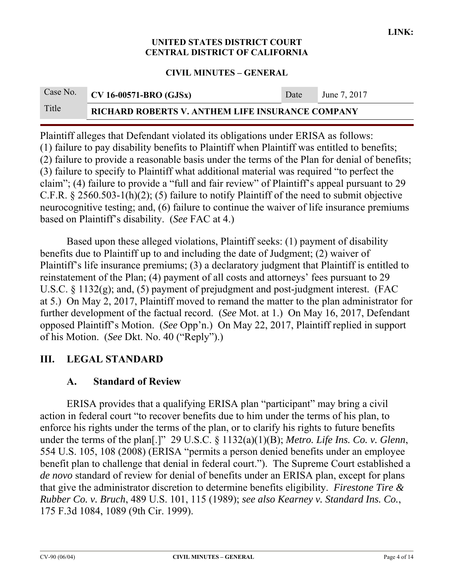### **CIVIL MINUTES – GENERAL**

# Case No. **CV 16-00571-BRO (GJSx)** Date June 7, 2017 Title **RICHARD ROBERTS V. ANTHEM LIFE INSURANCE COMPANY**

Plaintiff alleges that Defendant violated its obligations under ERISA as follows: (1) failure to pay disability benefits to Plaintiff when Plaintiff was entitled to benefits; (2) failure to provide a reasonable basis under the terms of the Plan for denial of benefits; (3) failure to specify to Plaintiff what additional material was required "to perfect the claim"; (4) failure to provide a "full and fair review" of Plaintiff's appeal pursuant to 29 C.F.R. § 2560.503-1(h)(2); (5) failure to notify Plaintiff of the need to submit objective neurocognitive testing; and, (6) failure to continue the waiver of life insurance premiums based on Plaintiff's disability. (*See* FAC at 4.)

 Based upon these alleged violations, Plaintiff seeks: (1) payment of disability benefits due to Plaintiff up to and including the date of Judgment; (2) waiver of Plaintiff's life insurance premiums; (3) a declaratory judgment that Plaintiff is entitled to reinstatement of the Plan; (4) payment of all costs and attorneys' fees pursuant to 29 U.S.C. § 1132(g); and, (5) payment of prejudgment and post-judgment interest. (FAC at 5.) On May 2, 2017, Plaintiff moved to remand the matter to the plan administrator for further development of the factual record. (*See* Mot. at 1.) On May 16, 2017, Defendant opposed Plaintiff's Motion. (*See* Opp'n.) On May 22, 2017, Plaintiff replied in support of his Motion. (*See* Dkt. No. 40 ("Reply").)

## **III. LEGAL STANDARD**

## **A. Standard of Review**

 ERISA provides that a qualifying ERISA plan "participant" may bring a civil action in federal court "to recover benefits due to him under the terms of his plan, to enforce his rights under the terms of the plan, or to clarify his rights to future benefits under the terms of the plan[.]" 29 U.S.C. § 1132(a)(1)(B); *Metro. Life Ins. Co. v. Glenn*, 554 U.S. 105, 108 (2008) (ERISA "permits a person denied benefits under an employee benefit plan to challenge that denial in federal court."). The Supreme Court established a *de novo* standard of review for denial of benefits under an ERISA plan, except for plans that give the administrator discretion to determine benefits eligibility. *Firestone Tire & Rubber Co. v. Bruch*, 489 U.S. 101, 115 (1989); *see also Kearney v. Standard Ins. Co.*, 175 F.3d 1084, 1089 (9th Cir. 1999).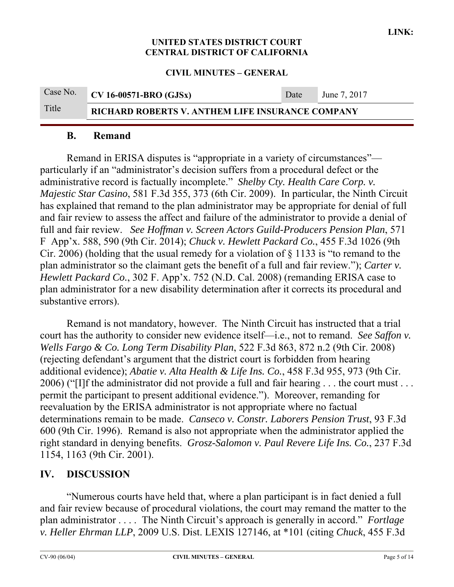#### **CIVIL MINUTES – GENERAL**

| Title    | <b>RICHARD ROBERTS V. ANTHEM LIFE INSURANCE COMPANY</b> |      |              |  |
|----------|---------------------------------------------------------|------|--------------|--|
| Case No. | $\sqrt{CV 16-00571-BRO (GJSx)}$                         | Date | June 7, 2017 |  |

### **B. Remand**

 Remand in ERISA disputes is "appropriate in a variety of circumstances" particularly if an "administrator's decision suffers from a procedural defect or the administrative record is factually incomplete." *Shelby Cty. Health Care Corp. v. Majestic Star Casino*, 581 F.3d 355, 373 (6th Cir. 2009). In particular, the Ninth Circuit has explained that remand to the plan administrator may be appropriate for denial of full and fair review to assess the affect and failure of the administrator to provide a denial of full and fair review. *See Hoffman v. Screen Actors Guild-Producers Pension Plan*, 571 F App'x. 588, 590 (9th Cir. 2014); *Chuck v. Hewlett Packard Co.*, 455 F.3d 1026 (9th Cir. 2006) (holding that the usual remedy for a violation of § 1133 is "to remand to the plan administrator so the claimant gets the benefit of a full and fair review."); *Carter v. Hewlett Packard Co.*, 302 F. App'x. 752 (N.D. Cal. 2008) (remanding ERISA case to plan administrator for a new disability determination after it corrects its procedural and substantive errors).

 Remand is not mandatory, however. The Ninth Circuit has instructed that a trial court has the authority to consider new evidence itself—i.e., not to remand. *See Saffon v. Wells Fargo & Co. Long Term Disability Plan*, 522 F.3d 863, 872 n.2 (9th Cir. 2008) (rejecting defendant's argument that the district court is forbidden from hearing additional evidence); *Abatie v. Alta Health & Life Ins. Co.*, 458 F.3d 955, 973 (9th Cir. 2006) ("[I]f the administrator did not provide a full and fair hearing . . . the court must . . . permit the participant to present additional evidence."). Moreover, remanding for reevaluation by the ERISA administrator is not appropriate where no factual determinations remain to be made. *Canseco v. Constr. Laborers Pension Trust*, 93 F.3d 600 (9th Cir. 1996). Remand is also not appropriate when the administrator applied the right standard in denying benefits. *Grosz-Salomon v. Paul Revere Life Ins. Co.*, 237 F.3d 1154, 1163 (9th Cir. 2001).

## **IV. DISCUSSION**

 "Numerous courts have held that, where a plan participant is in fact denied a full and fair review because of procedural violations, the court may remand the matter to the plan administrator . . . . The Ninth Circuit's approach is generally in accord." *Fortlage v. Heller Ehrman LLP*, 2009 U.S. Dist. LEXIS 127146, at \*101 (citing *Chuck*, 455 F.3d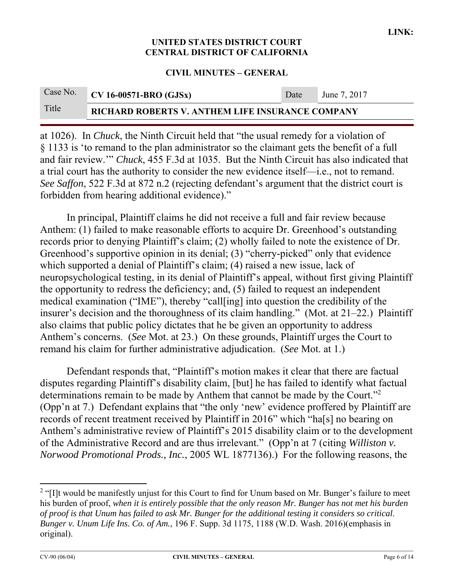#### **CIVIL MINUTES – GENERAL**

# Case No. **CV 16-00571-BRO (GJSx)** Date June 7, 2017 Title **RICHARD ROBERTS V. ANTHEM LIFE INSURANCE COMPANY**

at 1026). In *Chuck*, the Ninth Circuit held that "the usual remedy for a violation of § 1133 is 'to remand to the plan administrator so the claimant gets the benefit of a full and fair review.'" *Chuck*, 455 F.3d at 1035. But the Ninth Circuit has also indicated that a trial court has the authority to consider the new evidence itself—i.e., not to remand. *See Saffon*, 522 F.3d at 872 n.2 (rejecting defendant's argument that the district court is forbidden from hearing additional evidence)."

 In principal, Plaintiff claims he did not receive a full and fair review because Anthem: (1) failed to make reasonable efforts to acquire Dr. Greenhood's outstanding records prior to denying Plaintiff's claim; (2) wholly failed to note the existence of Dr. Greenhood's supportive opinion in its denial; (3) "cherry-picked" only that evidence which supported a denial of Plaintiff's claim; (4) raised a new issue, lack of neuropsychological testing, in its denial of Plaintiff's appeal, without first giving Plaintiff the opportunity to redress the deficiency; and, (5) failed to request an independent medical examination ("IME"), thereby "call[ing] into question the credibility of the insurer's decision and the thoroughness of its claim handling." (Mot. at 21–22.) Plaintiff also claims that public policy dictates that he be given an opportunity to address Anthem's concerns. (*See* Mot. at 23.) On these grounds, Plaintiff urges the Court to remand his claim for further administrative adjudication. (*See* Mot. at 1.)

 Defendant responds that, "Plaintiff's motion makes it clear that there are factual disputes regarding Plaintiff's disability claim, [but] he has failed to identify what factual determinations remain to be made by Anthem that cannot be made by the Court."<sup>2</sup> (Opp'n at 7.) Defendant explains that "the only 'new' evidence proffered by Plaintiff are records of recent treatment received by Plaintiff in 2016" which "ha[s] no bearing on Anthem's administrative review of Plaintiff's 2015 disability claim or to the development of the Administrative Record and are thus irrelevant." (Opp'n at 7 (citing *Williston v. Norwood Promotional Prods., Inc.*, 2005 WL 1877136).) For the following reasons, the

 $2$  "[I]t would be manifestly unjust for this Court to find for Unum based on Mr. Bunger's failure to meet his burden of proof, *when it is entirely possible that the only reason Mr. Bunger has not met his burden of proof is that Unum has failed to ask Mr. Bunger for the additional testing it considers so critical*. *Bunger v. Unum Life Ins. Co. of Am.*, 196 F. Supp. 3d 1175, 1188 (W.D. Wash. 2016)(emphasis in original).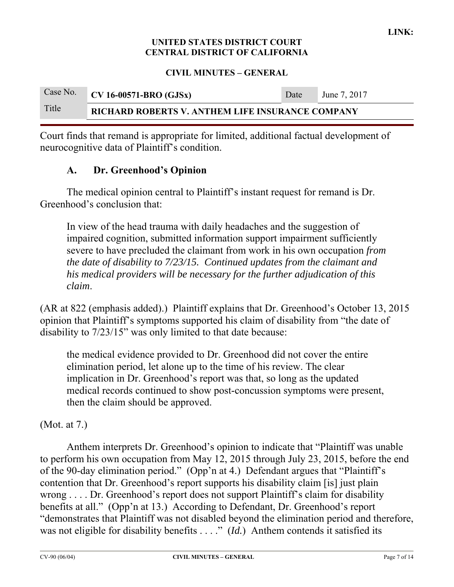**CIVIL MINUTES – GENERAL** 

| Case No. | $\sqrt{CV 16-00571-BRO (GJSx)}$                         | Date | June 7, 2017 |
|----------|---------------------------------------------------------|------|--------------|
| Title    | <b>RICHARD ROBERTS V. ANTHEM LIFE INSURANCE COMPANY</b> |      |              |

Court finds that remand is appropriate for limited, additional factual development of neurocognitive data of Plaintiff's condition.

## **A. Dr. Greenhood's Opinion**

 The medical opinion central to Plaintiff's instant request for remand is Dr. Greenhood's conclusion that:

In view of the head trauma with daily headaches and the suggestion of impaired cognition, submitted information support impairment sufficiently severe to have precluded the claimant from work in his own occupation *from the date of disability to 7/23/15. Continued updates from the claimant and his medical providers will be necessary for the further adjudication of this claim*.

(AR at 822 (emphasis added).) Plaintiff explains that Dr. Greenhood's October 13, 2015 opinion that Plaintiff's symptoms supported his claim of disability from "the date of disability to 7/23/15" was only limited to that date because:

the medical evidence provided to Dr. Greenhood did not cover the entire elimination period, let alone up to the time of his review. The clear implication in Dr. Greenhood's report was that, so long as the updated medical records continued to show post-concussion symptoms were present, then the claim should be approved.

(Mot. at 7.)

 Anthem interprets Dr. Greenhood's opinion to indicate that "Plaintiff was unable to perform his own occupation from May 12, 2015 through July 23, 2015, before the end of the 90-day elimination period." (Opp'n at 4.) Defendant argues that "Plaintiff's contention that Dr. Greenhood's report supports his disability claim [is] just plain wrong . . . . Dr. Greenhood's report does not support Plaintiff's claim for disability benefits at all." (Opp'n at 13.) According to Defendant, Dr. Greenhood's report "demonstrates that Plaintiff was not disabled beyond the elimination period and therefore, was not eligible for disability benefits . . . ." *(Id.)* Anthem contends it satisfied its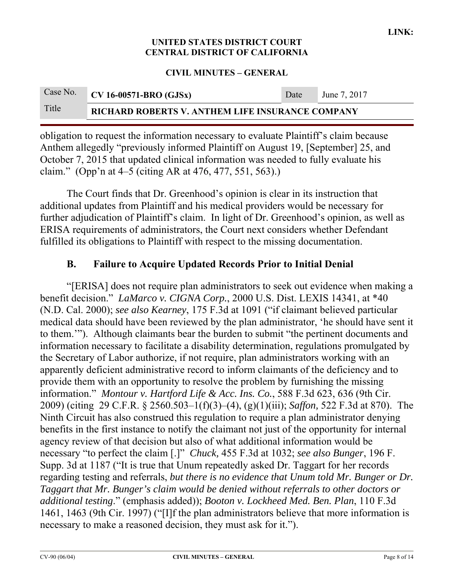#### **CIVIL MINUTES – GENERAL**

| Case No. | $\overline{C}$ CV 16-00571-BRO (GJSx)                   | Date | June 7, 2017 |
|----------|---------------------------------------------------------|------|--------------|
| Title    | <b>RICHARD ROBERTS V. ANTHEM LIFE INSURANCE COMPANY</b> |      |              |

obligation to request the information necessary to evaluate Plaintiff's claim because Anthem allegedly "previously informed Plaintiff on August 19, [September] 25, and October 7, 2015 that updated clinical information was needed to fully evaluate his claim." (Opp'n at 4–5 (citing AR at 476, 477, 551, 563).)

 The Court finds that Dr. Greenhood's opinion is clear in its instruction that additional updates from Plaintiff and his medical providers would be necessary for further adjudication of Plaintiff's claim. In light of Dr. Greenhood's opinion, as well as ERISA requirements of administrators, the Court next considers whether Defendant fulfilled its obligations to Plaintiff with respect to the missing documentation.

## **B. Failure to Acquire Updated Records Prior to Initial Denial**

 "[ERISA] does not require plan administrators to seek out evidence when making a benefit decision." *LaMarco v. CIGNA Corp.*, 2000 U.S. Dist. LEXIS 14341, at \*40 (N.D. Cal. 2000); *see also Kearney*, 175 F.3d at 1091 ("if claimant believed particular medical data should have been reviewed by the plan administrator, 'he should have sent it to them.'"). Although claimants bear the burden to submit "the pertinent documents and information necessary to facilitate a disability determination, regulations promulgated by the Secretary of Labor authorize, if not require, plan administrators working with an apparently deficient administrative record to inform claimants of the deficiency and to provide them with an opportunity to resolve the problem by furnishing the missing information." *Montour v. Hartford Life & Acc. Ins. Co.*, 588 F.3d 623, 636 (9th Cir. 2009) (citing 29 C.F.R. § 2560.503–1(f)(3)–(4), (g)(1)(iii); *Saffon,* 522 F.3d at 870). The Ninth Circuit has also construed this regulation to require a plan administrator denying benefits in the first instance to notify the claimant not just of the opportunity for internal agency review of that decision but also of what additional information would be necessary "to perfect the claim [.]" *Chuck,* 455 F.3d at 1032; *see also Bunger*, 196 F. Supp. 3d at 1187 ("It is true that Unum repeatedly asked Dr. Taggart for her records regarding testing and referrals, *but there is no evidence that Unum told Mr. Bunger or Dr. Taggart that Mr. Bunger's claim would be denied without referrals to other doctors or additional testing*." (emphasis added)); *Booton v. Lockheed Med. Ben. Plan*, 110 F.3d 1461, 1463 (9th Cir. 1997) ("[I]f the plan administrators believe that more information is necessary to make a reasoned decision, they must ask for it.").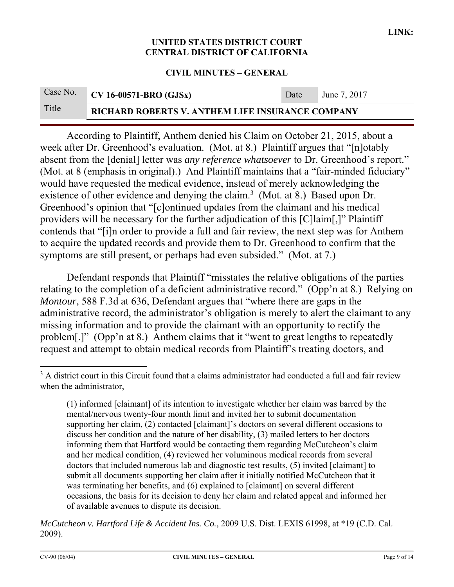#### **CIVIL MINUTES – GENERAL**

| Case No. | $\sqrt{\text{CV }16\text{-}00571\text{-}B\text{RO}}$ (GJSx) | Date | June 7, 2017 |
|----------|-------------------------------------------------------------|------|--------------|
| Title    | <b>RICHARD ROBERTS V. ANTHEM LIFE INSURANCE COMPANY</b>     |      |              |

 According to Plaintiff, Anthem denied his Claim on October 21, 2015, about a week after Dr. Greenhood's evaluation. (Mot. at 8.) Plaintiff argues that "[n]otably absent from the [denial] letter was *any reference whatsoever* to Dr. Greenhood's report." (Mot. at 8 (emphasis in original).) And Plaintiff maintains that a "fair-minded fiduciary" would have requested the medical evidence, instead of merely acknowledging the existence of other evidence and denying the claim.<sup>3</sup> (Mot. at 8.) Based upon Dr. Greenhood's opinion that "[c]ontinued updates from the claimant and his medical providers will be necessary for the further adjudication of this [C]laim[,]" Plaintiff contends that "[i]n order to provide a full and fair review, the next step was for Anthem to acquire the updated records and provide them to Dr. Greenhood to confirm that the symptoms are still present, or perhaps had even subsided." (Mot. at 7.)

 Defendant responds that Plaintiff "misstates the relative obligations of the parties relating to the completion of a deficient administrative record." (Opp'n at 8.) Relying on *Montour*, 588 F.3d at 636, Defendant argues that "where there are gaps in the administrative record, the administrator's obligation is merely to alert the claimant to any missing information and to provide the claimant with an opportunity to rectify the problem[.]" (Opp'n at 8.) Anthem claims that it "went to great lengths to repeatedly request and attempt to obtain medical records from Plaintiff's treating doctors, and

*McCutcheon v. Hartford Life & Accident Ins. Co.*, 2009 U.S. Dist. LEXIS 61998, at \*19 (C.D. Cal. 2009).

 $3$  A district court in this Circuit found that a claims administrator had conducted a full and fair review when the administrator,

<sup>(1)</sup> informed [claimant] of its intention to investigate whether her claim was barred by the mental/nervous twenty-four month limit and invited her to submit documentation supporting her claim, (2) contacted [claimant]'s doctors on several different occasions to discuss her condition and the nature of her disability, (3) mailed letters to her doctors informing them that Hartford would be contacting them regarding McCutcheon's claim and her medical condition, (4) reviewed her voluminous medical records from several doctors that included numerous lab and diagnostic test results, (5) invited [claimant] to submit all documents supporting her claim after it initially notified McCutcheon that it was terminating her benefits, and (6) explained to [claimant] on several different occasions, the basis for its decision to deny her claim and related appeal and informed her of available avenues to dispute its decision.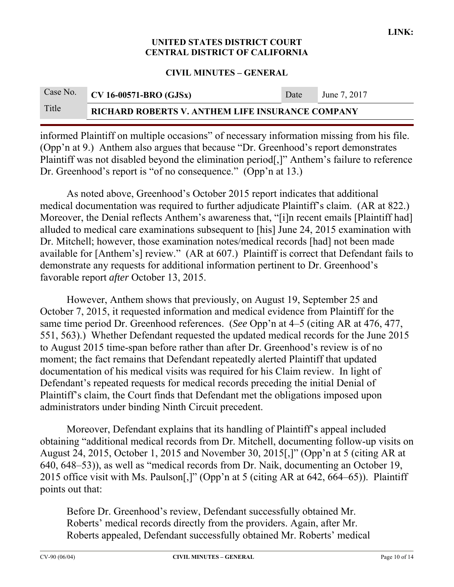#### **CIVIL MINUTES – GENERAL**

# Case No. **CV 16-00571-BRO (GJSx)** Date June 7, 2017 Title **RICHARD ROBERTS V. ANTHEM LIFE INSURANCE COMPANY**

informed Plaintiff on multiple occasions" of necessary information missing from his file. (Opp'n at 9.) Anthem also argues that because "Dr. Greenhood's report demonstrates Plaintiff was not disabled beyond the elimination period[,]" Anthem's failure to reference Dr. Greenhood's report is "of no consequence." (Opp'n at 13.)

 As noted above, Greenhood's October 2015 report indicates that additional medical documentation was required to further adjudicate Plaintiff's claim. (AR at 822.) Moreover, the Denial reflects Anthem's awareness that, "[i]n recent emails [Plaintiff had] alluded to medical care examinations subsequent to [his] June 24, 2015 examination with Dr. Mitchell; however, those examination notes/medical records [had] not been made available for [Anthem's] review." (AR at 607.) Plaintiff is correct that Defendant fails to demonstrate any requests for additional information pertinent to Dr. Greenhood's favorable report *after* October 13, 2015.

 However, Anthem shows that previously, on August 19, September 25 and October 7, 2015, it requested information and medical evidence from Plaintiff for the same time period Dr. Greenhood references. (*See* Opp'n at 4–5 (citing AR at 476, 477, 551, 563).) Whether Defendant requested the updated medical records for the June 2015 to August 2015 time-span before rather than after Dr. Greenhood's review is of no moment; the fact remains that Defendant repeatedly alerted Plaintiff that updated documentation of his medical visits was required for his Claim review. In light of Defendant's repeated requests for medical records preceding the initial Denial of Plaintiff's claim, the Court finds that Defendant met the obligations imposed upon administrators under binding Ninth Circuit precedent.

 Moreover, Defendant explains that its handling of Plaintiff's appeal included obtaining "additional medical records from Dr. Mitchell, documenting follow-up visits on August 24, 2015, October 1, 2015 and November 30, 2015[,]" (Opp'n at 5 (citing AR at 640, 648–53)), as well as "medical records from Dr. Naik, documenting an October 19, 2015 office visit with Ms. Paulson[,]" (Opp'n at 5 (citing AR at 642, 664–65)). Plaintiff points out that:

Before Dr. Greenhood's review, Defendant successfully obtained Mr. Roberts' medical records directly from the providers. Again, after Mr. Roberts appealed, Defendant successfully obtained Mr. Roberts' medical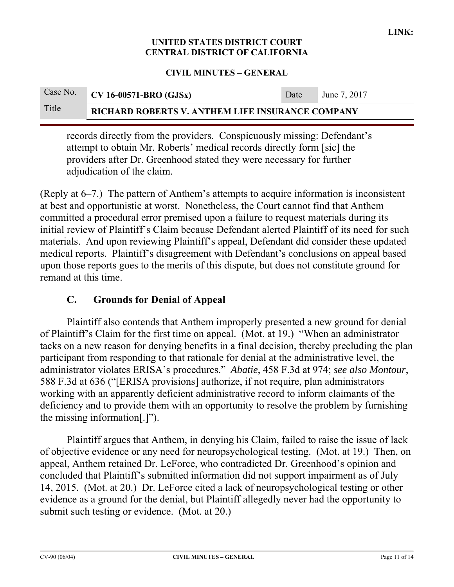#### **CIVIL MINUTES – GENERAL**

| Case No. | $CV 16-00571-BRO (GJSx)$                                | Date | June 7, 2017 |
|----------|---------------------------------------------------------|------|--------------|
| Title    | <b>RICHARD ROBERTS V. ANTHEM LIFE INSURANCE COMPANY</b> |      |              |

records directly from the providers. Conspicuously missing: Defendant's attempt to obtain Mr. Roberts' medical records directly form [sic] the providers after Dr. Greenhood stated they were necessary for further adjudication of the claim.

(Reply at 6–7.) The pattern of Anthem's attempts to acquire information is inconsistent at best and opportunistic at worst. Nonetheless, the Court cannot find that Anthem committed a procedural error premised upon a failure to request materials during its initial review of Plaintiff's Claim because Defendant alerted Plaintiff of its need for such materials. And upon reviewing Plaintiff's appeal, Defendant did consider these updated medical reports. Plaintiff's disagreement with Defendant's conclusions on appeal based upon those reports goes to the merits of this dispute, but does not constitute ground for remand at this time.

## **C. Grounds for Denial of Appeal**

 Plaintiff also contends that Anthem improperly presented a new ground for denial of Plaintiff's Claim for the first time on appeal. (Mot. at 19.) "When an administrator tacks on a new reason for denying benefits in a final decision, thereby precluding the plan participant from responding to that rationale for denial at the administrative level, the administrator violates ERISA's procedures." *Abatie*, 458 F.3d at 974; *see also Montour*, 588 F.3d at 636 ("[ERISA provisions] authorize, if not require, plan administrators working with an apparently deficient administrative record to inform claimants of the deficiency and to provide them with an opportunity to resolve the problem by furnishing the missing information[.]").

 Plaintiff argues that Anthem, in denying his Claim, failed to raise the issue of lack of objective evidence or any need for neuropsychological testing. (Mot. at 19.) Then, on appeal, Anthem retained Dr. LeForce, who contradicted Dr. Greenhood's opinion and concluded that Plaintiff's submitted information did not support impairment as of July 14, 2015. (Mot. at 20.) Dr. LeForce cited a lack of neuropsychological testing or other evidence as a ground for the denial, but Plaintiff allegedly never had the opportunity to submit such testing or evidence. (Mot. at 20.)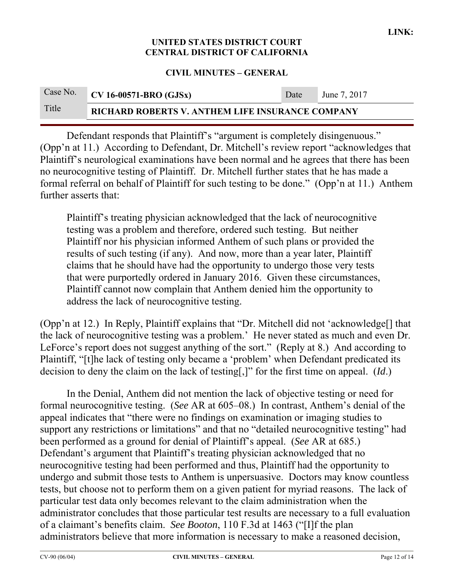### **CIVIL MINUTES – GENERAL**

| Case No. | $CV 16-00571-BRO (GJSx)$                                | Date | June 7, 2017 |
|----------|---------------------------------------------------------|------|--------------|
| Title    | <b>RICHARD ROBERTS V. ANTHEM LIFE INSURANCE COMPANY</b> |      |              |

Defendant responds that Plaintiff's "argument is completely disingenuous." (Opp'n at 11.) According to Defendant, Dr. Mitchell's review report "acknowledges that Plaintiff's neurological examinations have been normal and he agrees that there has been no neurocognitive testing of Plaintiff. Dr. Mitchell further states that he has made a formal referral on behalf of Plaintiff for such testing to be done." (Opp'n at 11.) Anthem further asserts that:

Plaintiff's treating physician acknowledged that the lack of neurocognitive testing was a problem and therefore, ordered such testing. But neither Plaintiff nor his physician informed Anthem of such plans or provided the results of such testing (if any). And now, more than a year later, Plaintiff claims that he should have had the opportunity to undergo those very tests that were purportedly ordered in January 2016. Given these circumstances, Plaintiff cannot now complain that Anthem denied him the opportunity to address the lack of neurocognitive testing.

(Opp'n at 12.) In Reply, Plaintiff explains that "Dr. Mitchell did not 'acknowledge[] that the lack of neurocognitive testing was a problem.' He never stated as much and even Dr. LeForce's report does not suggest anything of the sort." (Reply at 8.) And according to Plaintiff, "[t]he lack of testing only became a 'problem' when Defendant predicated its decision to deny the claim on the lack of testing[,]" for the first time on appeal. (*Id*.)

 In the Denial, Anthem did not mention the lack of objective testing or need for formal neurocognitive testing. (*See* AR at 605–08.) In contrast, Anthem's denial of the appeal indicates that "there were no findings on examination or imaging studies to support any restrictions or limitations" and that no "detailed neurocognitive testing" had been performed as a ground for denial of Plaintiff's appeal. (*See* AR at 685.) Defendant's argument that Plaintiff's treating physician acknowledged that no neurocognitive testing had been performed and thus, Plaintiff had the opportunity to undergo and submit those tests to Anthem is unpersuasive. Doctors may know countless tests, but choose not to perform them on a given patient for myriad reasons. The lack of particular test data only becomes relevant to the claim administration when the administrator concludes that those particular test results are necessary to a full evaluation of a claimant's benefits claim. *See Booton*, 110 F.3d at 1463 ("[I]f the plan administrators believe that more information is necessary to make a reasoned decision,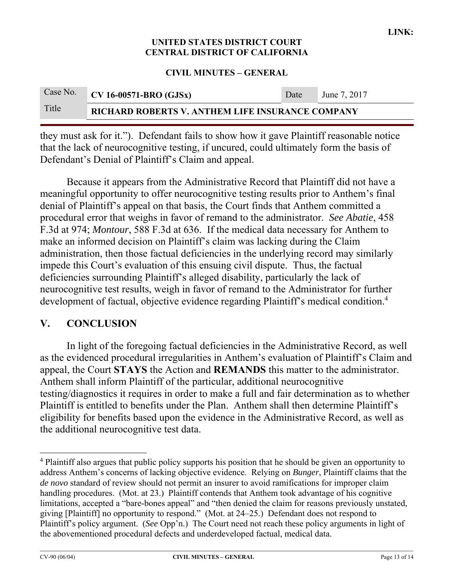#### **CIVIL MINUTES – GENERAL**

| Case No. | $CV 16-00571-BRO (GJSx)$                         | Date | June 7, 2017 |
|----------|--------------------------------------------------|------|--------------|
| Title    | RICHARD ROBERTS V. ANTHEM LIFE INSURANCE COMPANY |      |              |

they must ask for it."). Defendant fails to show how it gave Plaintiff reasonable notice that the lack of neurocognitive testing, if uncured, could ultimately form the basis of Defendant's Denial of Plaintiff's Claim and appeal.

 Because it appears from the Administrative Record that Plaintiff did not have a meaningful opportunity to offer neurocognitive testing results prior to Anthem's final denial of Plaintiff's appeal on that basis, the Court finds that Anthem committed a procedural error that weighs in favor of remand to the administrator. *See Abatie*, 458 F.3d at 974; *Montour*, 588 F.3d at 636. If the medical data necessary for Anthem to make an informed decision on Plaintiff's claim was lacking during the Claim administration, then those factual deficiencies in the underlying record may similarly impede this Court's evaluation of this ensuing civil dispute. Thus, the factual deficiencies surrounding Plaintiff's alleged disability, particularly the lack of neurocognitive test results, weigh in favor of remand to the Administrator for further development of factual, objective evidence regarding Plaintiff's medical condition.<sup>4</sup>

## **V. CONCLUSION**

In light of the foregoing factual deficiencies in the Administrative Record, as well as the evidenced procedural irregularities in Anthem's evaluation of Plaintiff's Claim and appeal, the Court **STAYS** the Action and **REMANDS** this matter to the administrator. Anthem shall inform Plaintiff of the particular, additional neurocognitive testing/diagnostics it requires in order to make a full and fair determination as to whether Plaintiff is entitled to benefits under the Plan. Anthem shall then determine Plaintiff's eligibility for benefits based upon the evidence in the Administrative Record, as well as the additional neurocognitive test data.

<sup>&</sup>lt;sup>4</sup> Plaintiff also argues that public policy supports his position that he should be given an opportunity to address Anthem's concerns of lacking objective evidence. Relying on *Bunger*, Plaintiff claims that the *de novo* standard of review should not permit an insurer to avoid ramifications for improper claim handling procedures. (Mot. at 23.) Plaintiff contends that Anthem took advantage of his cognitive limitations, accepted a "bare-bones appeal" and "then denied the claim for reasons previously unstated, giving [Plaintiff] no opportunity to respond." (Mot. at 24–25.) Defendant does not respond to Plaintiff's policy argument. (*See* Opp'n.) The Court need not reach these policy arguments in light of the abovementioned procedural defects and underdeveloped factual, medical data.